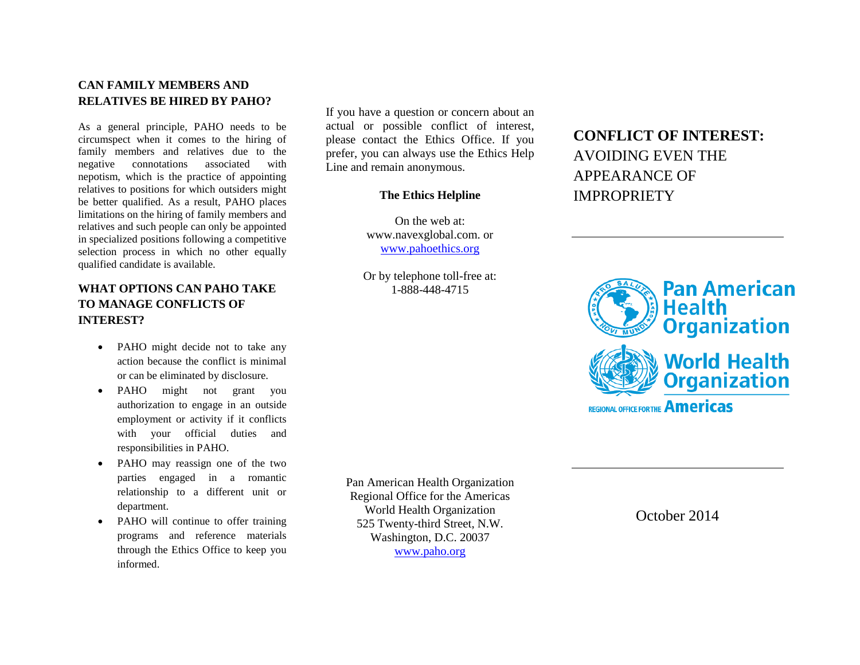## **CAN FAMILY MEMBERS AND RELATIVES BE HIRED BY PAHO?**

As a general principle, PAHO needs to be circumspect when it comes to the hiring of family members and relatives due to the negative connotations associated with nepotism, which is the practice of appointing relatives to [positions](http://www.businessdictionary.com/definition/position.html) for which outsiders might be better [qualified.](http://www.businessdictionary.com/definition/qualified.html) As a result, PAHO places limitations on the hiring of family members and relatives and such people can only be appointed in specialized positions following a competitive selection process in which no other equally qualified candidate is available.

# **WHAT OPTIONS CAN PAHO TAKE TO MANAGE CONFLICTS OF INTEREST?**

- PAHO might decide not to take any action because the conflict is minimal or can be eliminated by disclosure.
- PAHO might not grant you authorization to engage in an outside employment or activity if it conflicts with your official duties and responsibilities in PAHO.
- PAHO may reassign one of the two parties engaged in a romantic relationship to a different unit or department.
- PAHO will continue to offer training programs and reference materials through the Ethics Office to keep you informed.

If you have a question or concern about an actual or possible conflict of interest, please contact the Ethics Office. If you prefer, you can always use the Ethics Help Line and remain anonymous.

### **The Ethics Helpline**

On the web at: www.navexglobal.com. or [www.pahoethics.org](http://www.pahoethics.org/)

Or by telephone toll-free at: 1-888-448-4715

# **CONFLICT OF INTEREST:**  AVOIDING EVEN THE APPEARANCE OF **IMPROPRIETY**



Pan American Health Organization Regional Office for the Americas World Health Organization 525 Twenty-third Street, N.W. Washington, D.C. 20037 [www.paho.org](http://www.paho.org/)

October 2014